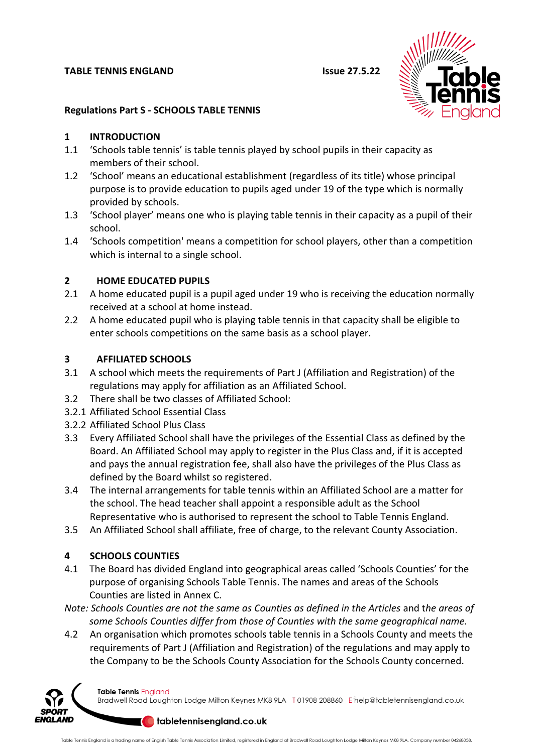#### **TABLE TENNIS ENGLAND ISSUE 27.5.22**



### **Regulations Part S - SCHOOLS TABLE TENNIS**

### **1 INTRODUCTION**

- 1.1 'Schools table tennis' is table tennis played by school pupils in their capacity as members of their school.
- 1.2 'School' means an educational establishment (regardless of its title) whose principal purpose is to provide education to pupils aged under 19 of the type which is normally provided by schools.
- 1.3 'School player' means one who is playing table tennis in their capacity as a pupil of their school.
- 1.4 'Schools competition' means a competition for school players, other than a competition which is internal to a single school.

### **2 HOME EDUCATED PUPILS**

- 2.1 A home educated pupil is a pupil aged under 19 who is receiving the education normally received at a school at home instead.
- 2.2 A home educated pupil who is playing table tennis in that capacity shall be eligible to enter schools competitions on the same basis as a school player.

## **3 AFFILIATED SCHOOLS**

- 3.1 A school which meets the requirements of Part J (Affiliation and Registration) of the regulations may apply for affiliation as an Affiliated School.
- 3.2 There shall be two classes of Affiliated School:
- 3.2.1 Affiliated School Essential Class
- 3.2.2 Affiliated School Plus Class
- 3.3 Every Affiliated School shall have the privileges of the Essential Class as defined by the Board. An Affiliated School may apply to register in the Plus Class and, if it is accepted and pays the annual registration fee, shall also have the privileges of the Plus Class as defined by the Board whilst so registered.
- 3.4 The internal arrangements for table tennis within an Affiliated School are a matter for the school. The head teacher shall appoint a responsible adult as the School Representative who is authorised to represent the school to Table Tennis England.
- 3.5 An Affiliated School shall affiliate, free of charge, to the relevant County Association.

# **4 SCHOOLS COUNTIES**

- 4.1 The Board has divided England into geographical areas called 'Schools Counties' for the purpose of organising Schools Table Tennis. The names and areas of the Schools Counties are listed in Annex C.
- *Note: Schools Counties are not the same as Counties as defined in the Articles* and t*he areas of some Schools Counties differ from those of Counties with the same geographical name.*
- 4.2 An organisation which promotes schools table tennis in a Schools County and meets the requirements of Part J (Affiliation and Registration) of the regulations and may apply to the Company to be the Schools County Association for the Schools County concerned.



Table Tennis England Bradwell Road Loughton Lodge Milton Keynes MK8 9LA T01908 208860 Ehelp@tabletennisengland.co.uk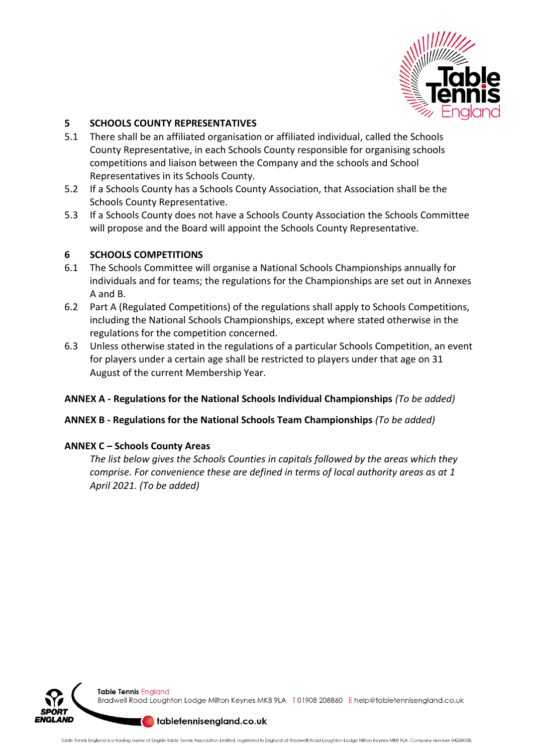

## **5 SCHOOLS COUNTY REPRESENTATIVES**

- 5.1 There shall be an affiliated organisation or affiliated individual, called the Schools County Representative, in each Schools County responsible for organising schools competitions and liaison between the Company and the schools and School Representatives in its Schools County.
- 5.2 If a Schools County has a Schools County Association, that Association shall be the Schools County Representative.
- 5.3 If a Schools County does not have a Schools County Association the Schools Committee will propose and the Board will appoint the Schools County Representative.

### **6 SCHOOLS COMPETITIONS**

- 6.1 The Schools Committee will organise a National Schools Championships annually for individuals and for teams; the regulations for the Championships are set out in Annexes A and B.
- 6.2 Part A (Regulated Competitions) of the regulations shall apply to Schools Competitions, including the National Schools Championships, except where stated otherwise in the regulations for the competition concerned.
- 6.3 Unless otherwise stated in the regulations of a particular Schools Competition, an event for players under a certain age shall be restricted to players under that age on 31 August of the current Membership Year.

### **ANNEX A - Regulations for the National Schools Individual Championships** *(To be added)*

### **ANNEX B - Regulations for the National Schools Team Championships** *(To be added)*

### **ANNEX C – Schools County Areas**

*The list below gives the Schools Counties in capitals followed by the areas which they comprise. For convenience these are defined in terms of local authority areas as at 1 April 2021. (To be added)*